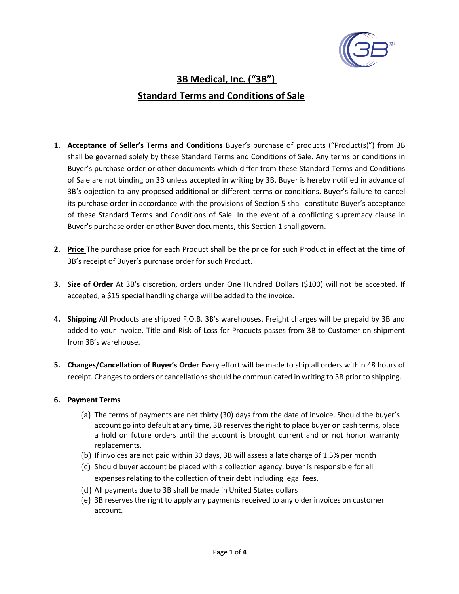

# **3B Medical, Inc. ("3B") Standard Terms and Conditions of Sale**

- **1. Acceptance of Seller's Terms and Conditions** Buyer's purchase of products ("Product(s)") from 3B shall be governed solely by these Standard Terms and Conditions of Sale. Any terms or conditions in Buyer's purchase order or other documents which differ from these Standard Terms and Conditions of Sale are not binding on 3B unless accepted in writing by 3B. Buyer is hereby notified in advance of 3B's objection to any proposed additional or different terms or conditions. Buyer's failure to cancel its purchase order in accordance with the provisions of Section 5 shall constitute Buyer's acceptance of these Standard Terms and Conditions of Sale. In the event of a conflicting supremacy clause in Buyer's purchase order or other Buyer documents, this Section 1 shall govern.
- **2. Price** The purchase price for each Product shall be the price for such Product in effect at the time of 3B's receipt of Buyer's purchase order for such Product.
- **3. Size of Order** At 3B's discretion, orders under One Hundred Dollars (\$100) will not be accepted. If accepted, a \$15 special handling charge will be added to the invoice.
- **4. Shipping** All Products are shipped F.O.B. 3B's warehouses. Freight charges will be prepaid by 3B and added to your invoice. Title and Risk of Loss for Products passes from 3B to Customer on shipment from 3B's warehouse.
- **5. Changes/Cancellation of Buyer's Order** Every effort will be made to ship all orders within 48 hours of receipt. Changes to orders or cancellations should be communicated in writing to 3B prior to shipping.

### **6. Payment Terms**

- (a) The terms of payments are net thirty (30) days from the date of invoice. Should the buyer's account go into default at any time, 3B reserves the right to place buyer on cash terms, place a hold on future orders until the account is brought current and or not honor warranty replacements.
- (b) If invoices are not paid within 30 days, 3B will assess a late charge of 1.5% per month
- (c) Should buyer account be placed with a collection agency, buyer is responsible for all expenses relating to the collection of their debt including legal fees.
- (d) All payments due to 3B shall be made in United States dollars
- (e) 3B reserves the right to apply any payments received to any older invoices on customer account.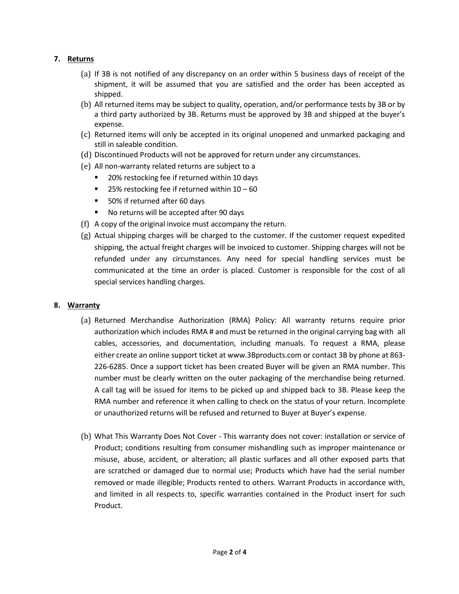### **7. Returns**

- (a) If 3B is not notified of any discrepancy on an order within 5 business days of receipt of the shipment, it will be assumed that you are satisfied and the order has been accepted as shipped.
- (b) All returned items may be subject to quality, operation, and/or performance tests by 3B or by a third party authorized by 3B. Returns must be approved by 3B and shipped at the buyer's expense.
- (c) Returned items will only be accepted in its original unopened and unmarked packaging and still in saleable condition.
- (d) Discontinued Products will not be approved for return under any circumstances.
- (e) All non-warranty related returns are subject to a
	- 20% restocking fee if returned within 10 days
	- 25% restocking fee if returned within  $10 60$
	- 50% if returned after 60 days
	- No returns will be accepted after 90 days
- (f) A copy of the original invoice must accompany the return.
- (g) Actual shipping charges will be charged to the customer. If the customer request expedited shipping, the actual freight charges will be invoiced to customer. Shipping charges will not be refunded under any circumstances. Any need for special handling services must be communicated at the time an order is placed. Customer is responsible for the cost of all special services handling charges.

### **8. Warranty**

- (a) Returned Merchandise Authorization (RMA) Policy: All warranty returns require prior authorization which includes RMA # and must be returned in the original carrying bag with all cables, accessories, and documentation, including manuals. To request a RMA, please either create an online support ticket at [www.3Bproducts.com](http://www.3bproducts.com/) or contact 3B by phone at 863- 226-6285. Once a support ticket has been created Buyer will be given an RMA number. This number must be clearly written on the outer packaging of the merchandise being returned. A call tag will be issued for items to be picked up and shipped back to 3B. Please keep the RMA number and reference it when calling to check on the status of your return. Incomplete or unauthorized returns will be refused and returned to Buyer at Buyer's expense.
- (b) What This Warranty Does Not Cover This warranty does not cover: installation or service of Product; conditions resulting from consumer mishandling such as improper maintenance or misuse, abuse, accident, or alteration; all plastic surfaces and all other exposed parts that are scratched or damaged due to normal use; Products which have had the serial number removed or made illegible; Products rented to others. Warrant Products in accordance with, and limited in all respects to, specific warranties contained in the Product insert for such Product.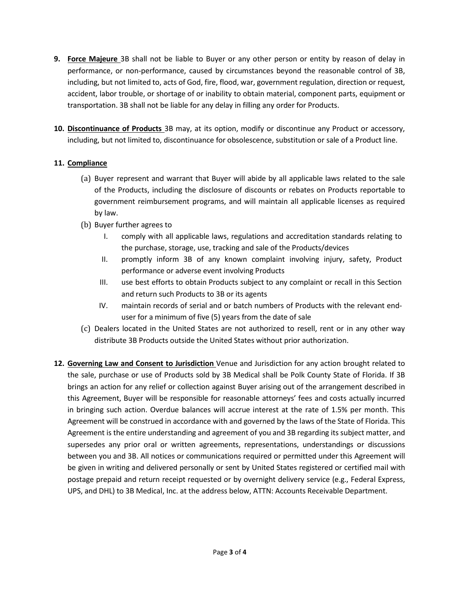- **9. Force Majeure** 3B shall not be liable to Buyer or any other person or entity by reason of delay in performance, or non-performance, caused by circumstances beyond the reasonable control of 3B, including, but not limited to, acts of God, fire, flood, war, government regulation, direction or request, accident, labor trouble, or shortage of or inability to obtain material, component parts, equipment or transportation. 3B shall not be liable for any delay in filling any order for Products.
- **10. Discontinuance of Products** 3B may, at its option, modify or discontinue any Product or accessory, including, but not limited to, discontinuance for obsolescence, substitution or sale of a Product line.

## **11. Compliance**

- (a) Buyer represent and warrant that Buyer will abide by all applicable laws related to the sale of the Products, including the disclosure of discounts or rebates on Products reportable to government reimbursement programs, and will maintain all applicable licenses as required by law.
- (b) Buyer further agrees to
	- I. comply with all applicable laws, regulations and accreditation standards relating to the purchase, storage, use, tracking and sale of the Products/devices
	- II. promptly inform 3B of any known complaint involving injury, safety, Product performance or adverse event involving Products
	- III. use best efforts to obtain Products subject to any complaint or recall in this Section and return such Products to 3B or its agents
	- IV. maintain records of serial and or batch numbers of Products with the relevant enduser for a minimum of five (5) years from the date of sale
- (c) Dealers located in the United States are not authorized to resell, rent or in any other way distribute 3B Products outside the United States without prior authorization.
- **12. Governing Law and Consent to Jurisdiction** Venue and Jurisdiction for any action brought related to the sale, purchase or use of Products sold by 3B Medical shall be Polk County State of Florida. If 3B brings an action for any relief or collection against Buyer arising out of the arrangement described in this Agreement, Buyer will be responsible for reasonable attorneys' fees and costs actually incurred in bringing such action. Overdue balances will accrue interest at the rate of 1.5% per month. This Agreement will be construed in accordance with and governed by the laws of the State of Florida. This Agreement is the entire understanding and agreement of you and 3B regarding its subject matter, and supersedes any prior oral or written agreements, representations, understandings or discussions between you and 3B. All notices or communications required or permitted under this Agreement will be given in writing and delivered personally or sent by United States registered or certified mail with postage prepaid and return receipt requested or by overnight delivery service (e.g., Federal Express, UPS, and DHL) to 3B Medical, Inc. at the address below, ATTN: Accounts Receivable Department.